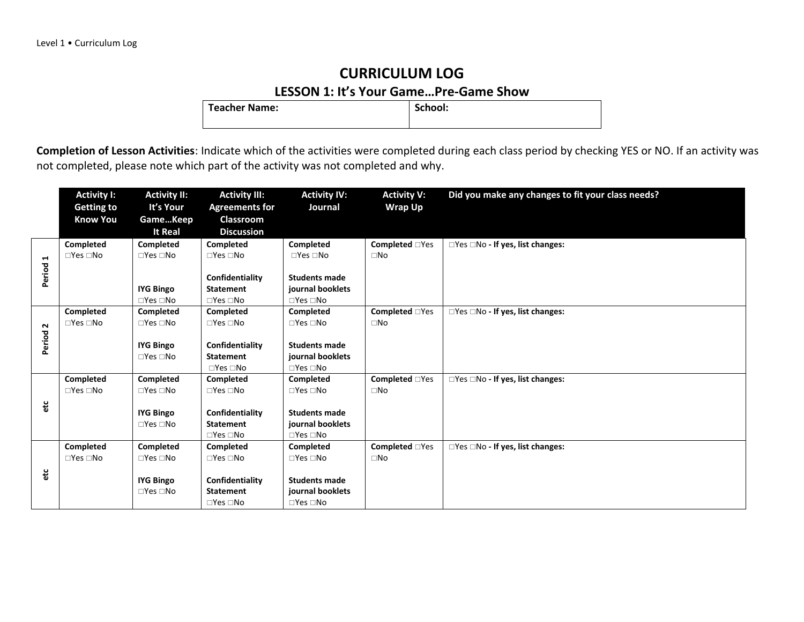### **CURRICULUM LOG LESSON 1: It's Your Game...Pre-Game Show**<br>| School: | School:

**Teacher Name:** 

|                | <b>Activity I:</b>         | <b>Activity II:</b>                      | <b>Activity III:</b>                | <b>Activity IV:</b>                      | <b>Activity V:</b>    | Did you make any changes to fit your class needs? |
|----------------|----------------------------|------------------------------------------|-------------------------------------|------------------------------------------|-----------------------|---------------------------------------------------|
|                | <b>Getting to</b>          | It's Your                                | <b>Agreements for</b>               | Journal                                  | <b>Wrap Up</b>        |                                                   |
|                | <b>Know You</b>            | GameKeep                                 | Classroom                           |                                          |                       |                                                   |
|                |                            | <b>It Real</b>                           | <b>Discussion</b>                   |                                          |                       |                                                   |
|                | Completed                  | Completed                                | Completed                           | Completed                                | <b>Completed</b> □Yes | □Yes □No - If yes, list changes:                  |
| $\blacksquare$ | $\Box$ Yes $\Box$ No       | $\Box$ Yes $\Box$ No                     | $\Box$ Yes $\Box$ No                | $\Box$ Yes $\Box$ No                     | $\square$ No          |                                                   |
| Period         |                            |                                          |                                     |                                          |                       |                                                   |
|                |                            |                                          | Confidentiality<br><b>Statement</b> | <b>Students made</b><br>journal booklets |                       |                                                   |
|                |                            | <b>IYG Bingo</b><br>$\Box$ Yes $\Box$ No | $\square$ Yes $\square$ No          | $\Box$ Yes $\Box$ No                     |                       |                                                   |
|                | Completed                  | Completed                                | <b>Completed</b>                    | <b>Completed</b>                         | <b>Completed</b> □Yes | $\Box$ Yes $\Box$ No - If yes, list changes:      |
| $\sim$         | $\Box$ Yes $\Box$ No       | $\Box$ Yes $\Box$ No                     | $\Box$ Yes $\Box$ No                | $\Box$ Yes $\Box$ No                     | $\square$ No          |                                                   |
|                |                            |                                          |                                     |                                          |                       |                                                   |
| Period         |                            | <b>IYG Bingo</b>                         | Confidentiality                     | <b>Students made</b>                     |                       |                                                   |
|                |                            | $\Box$ Yes $\Box$ No                     | <b>Statement</b>                    | journal booklets                         |                       |                                                   |
|                |                            |                                          | $\Box$ Yes $\Box$ No                | $\Box$ Yes $\Box$ No                     |                       |                                                   |
|                | <b>Completed</b>           | Completed                                | Completed                           | <b>Completed</b>                         | <b>Completed</b> □Yes | □Yes □No - If yes, list changes:                  |
|                | $\square$ Yes $\square$ No | $\Box$ Yes $\Box$ No                     | $\square$ Yes $\square$ No          | $\Box$ Yes $\Box$ No                     | $\square$ No          |                                                   |
| etc            |                            |                                          |                                     | <b>Students made</b>                     |                       |                                                   |
|                |                            | <b>IYG Bingo</b><br>$\Box$ Yes $\Box$ No | Confidentiality<br><b>Statement</b> | journal booklets                         |                       |                                                   |
|                |                            |                                          | $\square$ Yes $\square$ No          | $\square$ Yes $\square$ No               |                       |                                                   |
|                | <b>Completed</b>           | Completed                                | <b>Completed</b>                    | Completed                                | <b>Completed</b> □Yes | □Yes □No - If yes, list changes:                  |
|                | $\Box$ Yes $\Box$ No       | $\Box$ Yes $\Box$ No                     | $\square$ Yes $\square$ No          | $\Box$ Yes $\Box$ No                     | $\square$ No          |                                                   |
|                |                            |                                          |                                     |                                          |                       |                                                   |
| etc            |                            | <b>IYG Bingo</b>                         | Confidentiality                     | <b>Students made</b>                     |                       |                                                   |
|                |                            | $\Box$ Yes $\Box$ No                     | <b>Statement</b>                    | journal booklets                         |                       |                                                   |
|                |                            |                                          | $\square$ Yes $\square$ No          | $\square$ Yes $\square$ No               |                       |                                                   |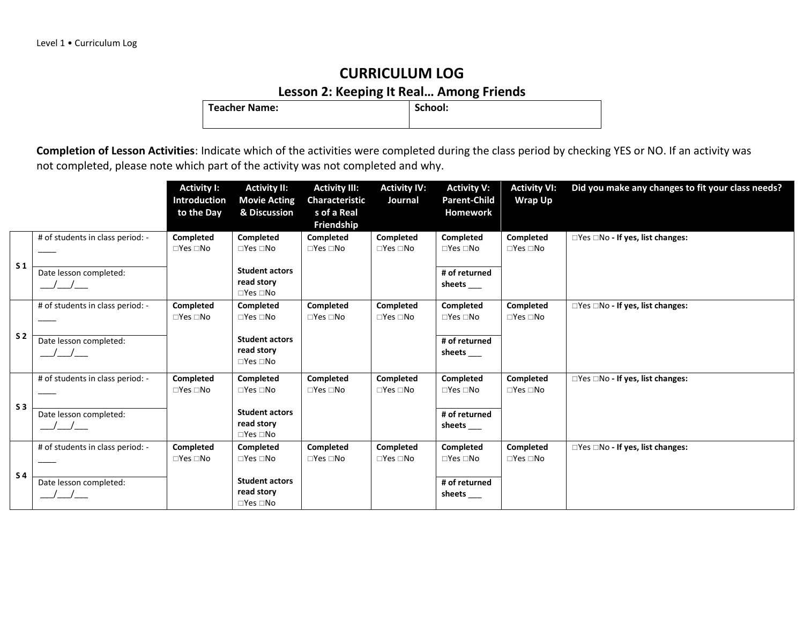**Lesson 2: Keeping It Real… Among Friends Teacher Name:** 

|                |                                                                             | <b>Activity I:</b><br><b>Introduction</b><br>to the Day | <b>Activity II:</b><br><b>Movie Acting</b><br>& Discussion                                             | <b>Activity III:</b><br>Characteristic<br>s of a Real<br>Friendship | <b>Activity IV:</b><br>Journal    | <b>Activity V:</b><br><b>Parent-Child</b><br>Homework               | <b>Activity VI:</b><br><b>Wrap Up</b> | Did you make any changes to fit your class needs? |
|----------------|-----------------------------------------------------------------------------|---------------------------------------------------------|--------------------------------------------------------------------------------------------------------|---------------------------------------------------------------------|-----------------------------------|---------------------------------------------------------------------|---------------------------------------|---------------------------------------------------|
| S <sub>1</sub> | # of students in class period: -<br>Date lesson completed:<br>$\frac{1}{2}$ | Completed<br>$\Box$ Yes $\Box$ No                       | Completed<br>$\Box$ Yes $\Box$ No<br><b>Student actors</b><br>read story<br>$\Box$ Yes $\Box$ No       | Completed<br>$\Box$ Yes $\Box$ No                                   | Completed<br>$\Box$ Yes $\Box$ No | Completed<br>$\Box$ Yes $\Box$ No<br># of returned<br>sheets        | Completed<br>$\Box$ Yes $\Box$ No     | $\Box$ Yes $\Box$ No - If yes, list changes:      |
| S <sub>2</sub> | # of students in class period: -<br>Date lesson completed:<br>$\sqrt{2}$    | Completed<br>$\Box$ Yes $\Box$ No                       | Completed<br>$\Box$ Yes $\Box$ No<br><b>Student actors</b><br>read story<br>$\square$ Yes $\square$ No | Completed<br>$\Box$ Yes $\Box$ No                                   | Completed<br>$\Box$ Yes $\Box$ No | Completed<br>$\Box$ Yes $\Box$ No<br># of returned<br>sheets $\_\_$ | Completed<br>$\Box$ Yes $\Box$ No     | $\Box$ Yes $\Box$ No - If yes, list changes:      |
| S <sub>3</sub> | # of students in class period: -<br>Date lesson completed:                  | Completed<br>$\Box$ Yes $\Box$ No                       | Completed<br>$\Box$ Yes $\Box$ No<br><b>Student actors</b><br>read story<br>$\Box$ Yes $\Box$ No       | Completed<br>$\square$ Yes $\square$ No                             | Completed<br>$\Box$ Yes $\Box$ No | Completed<br>$\Box$ Yes $\Box$ No<br># of returned<br>sheets_       | Completed<br>$\Box$ Yes $\Box$ No     | □Yes □No - If yes, list changes:                  |
| S <sub>4</sub> | # of students in class period: -<br>Date lesson completed:                  | <b>Completed</b><br>$\Box$ Yes $\Box$ No                | Completed<br>$\Box$ Yes $\Box$ No<br><b>Student actors</b><br>read story<br>$\square$ Yes $\square$ No | <b>Completed</b><br>$\square$ Yes $\square$ No                      | Completed<br>$\Box$ Yes $\Box$ No | Completed<br>$\Box$ Yes $\Box$ No<br># of returned<br>sheets $\_\_$ | Completed<br>$\Box$ Yes $\Box$ No     | □Yes □No - If yes, list changes:                  |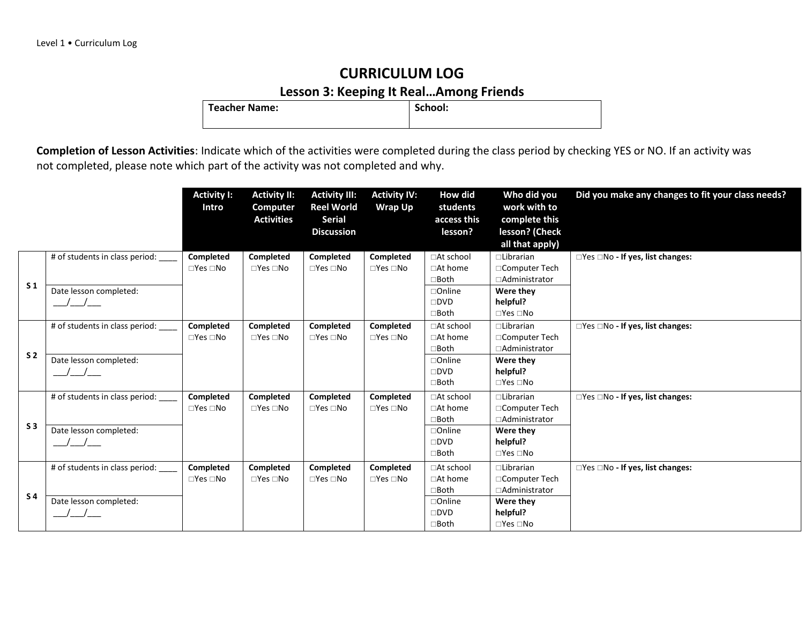### **CURRICULUM LOG Lesson 3: Keeping It Real…Among Friends**

**Teacher Name:** 

|                |                                | <b>Activity I:</b><br>Intro | <b>Activity II:</b><br><b>Computer</b><br><b>Activities</b> | <b>Activity III:</b><br><b>Reel World</b><br><b>Serial</b><br><b>Discussion</b> | <b>Activity IV:</b><br><b>Wrap Up</b> | How did<br>students<br>access this<br>lesson? | Who did you<br>work with to<br>complete this<br>lesson? (Check | Did you make any changes to fit your class needs? |
|----------------|--------------------------------|-----------------------------|-------------------------------------------------------------|---------------------------------------------------------------------------------|---------------------------------------|-----------------------------------------------|----------------------------------------------------------------|---------------------------------------------------|
|                |                                |                             |                                                             |                                                                                 |                                       |                                               | all that apply)                                                |                                                   |
|                | # of students in class period: | Completed                   | Completed                                                   | Completed                                                                       | Completed                             | □At school                                    | $\Box$ Librarian                                               | □Yes □No - If yes, list changes:                  |
|                |                                | $\Box$ Yes $\Box$ No        | $\Box$ Yes $\Box$ No                                        | $\Box$ Yes $\Box$ No                                                            | $\Box$ Yes $\Box$ No                  | $\Box$ At home                                | □Computer Tech                                                 |                                                   |
| S <sub>1</sub> |                                |                             |                                                             |                                                                                 |                                       | $\Box$ Both                                   | □Administrator                                                 |                                                   |
|                | Date lesson completed:         |                             |                                                             |                                                                                 |                                       | $\Box$ Online<br>$\square$ DVD                | Were they<br>helpful?                                          |                                                   |
|                |                                |                             |                                                             |                                                                                 |                                       | $\square$ Both                                | $\Box$ Yes $\Box$ No                                           |                                                   |
|                | # of students in class period: | Completed                   | Completed                                                   | Completed                                                                       | Completed                             | □At school                                    | $\Box$ Librarian                                               | $\Box$ Yes $\Box$ No - If yes, list changes:      |
|                |                                | $\Box$ Yes $\Box$ No        | $\Box$ Yes $\Box$ No                                        | $\Box$ Yes $\Box$ No                                                            | $\Box$ Yes $\Box$ No                  | □At home                                      | □Computer Tech                                                 |                                                   |
|                |                                |                             |                                                             |                                                                                 |                                       | $\Box$ Both                                   | □Administrator                                                 |                                                   |
| S <sub>2</sub> | Date lesson completed:         |                             |                                                             |                                                                                 |                                       | $\Box$ Online                                 | Were they                                                      |                                                   |
|                |                                |                             |                                                             |                                                                                 |                                       | $\square$ DVD                                 | helpful?                                                       |                                                   |
|                |                                |                             |                                                             |                                                                                 |                                       | $\Box$ Both                                   | $\Box$ Yes $\Box$ No                                           |                                                   |
|                | # of students in class period: | <b>Completed</b>            | Completed                                                   | Completed                                                                       | Completed                             | □At school                                    | $\Box$ Librarian                                               | $\Box$ Yes $\Box$ No - If yes, list changes:      |
|                |                                | $\square$ Yes $\square$ No  | $\square$ Yes $\square$ No                                  | $\Box$ Yes $\Box$ No                                                            | $\Box$ Yes $\Box$ No                  | □At home                                      | □Computer Tech                                                 |                                                   |
|                |                                |                             |                                                             |                                                                                 |                                       | $\Box$ Both                                   | □Administrator                                                 |                                                   |
| S <sub>3</sub> | Date lesson completed:         |                             |                                                             |                                                                                 |                                       | □Online                                       | Were they                                                      |                                                   |
|                | $\frac{1}{2}$                  |                             |                                                             |                                                                                 |                                       | $\square$ DVD                                 | helpful?                                                       |                                                   |
|                |                                |                             |                                                             |                                                                                 |                                       | $\Box$ Both                                   | $\Box$ Yes $\Box$ No                                           |                                                   |
|                | # of students in class period: | Completed                   | Completed                                                   | Completed                                                                       | <b>Completed</b>                      | □At school                                    | $\Box$ Librarian                                               | $\Box$ Yes $\Box$ No - If yes, list changes:      |
|                |                                | $\Box$ Yes $\Box$ No        | $\square$ Yes $\square$ No                                  | $\Box$ Yes $\Box$ No                                                            | $\Box$ Yes $\Box$ No                  | $\Box$ At home                                | □Computer Tech                                                 |                                                   |
| <b>S4</b>      |                                |                             |                                                             |                                                                                 |                                       | $\Box$ Both                                   | □Administrator                                                 |                                                   |
|                | Date lesson completed:         |                             |                                                             |                                                                                 |                                       | $\Box$ Online                                 | Were they                                                      |                                                   |
|                |                                |                             |                                                             |                                                                                 |                                       | $\square$ DVD<br>$\square$ Both               | helpful?<br>$\Box$ Yes $\Box$ No                               |                                                   |
|                |                                |                             |                                                             |                                                                                 |                                       |                                               |                                                                |                                                   |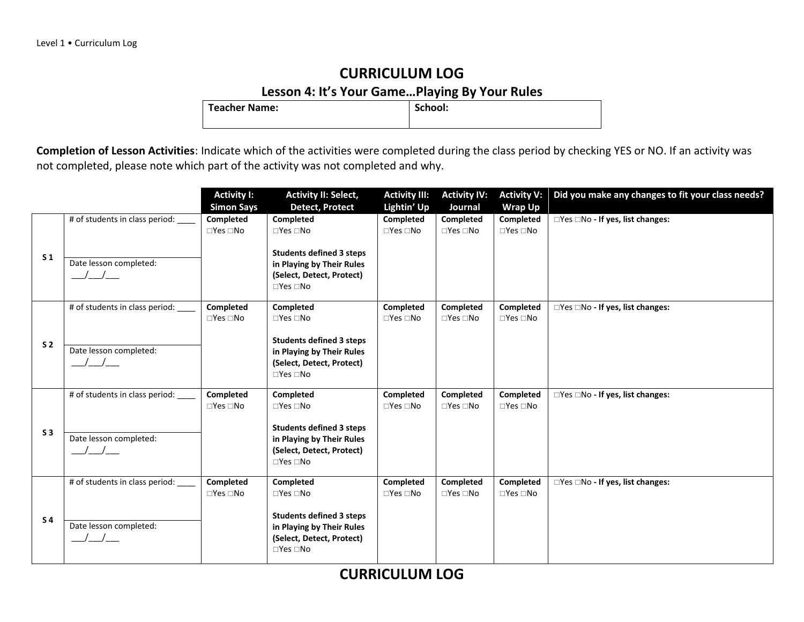### **CURRICULUM LOG Lesson 4: It's Your Game...Playing By Your Rules**

**Teacher Name:** 

**Completion of Lesson Activities**: Indicate which of the activities were completed during the class period by checking YES or NO. If an activity was not completed, please note which part of the activity was not completed and why.

|                |                                               | <b>Activity I:</b>   | <b>Activity II: Select,</b>     | <b>Activity III:</b> | <b>Activity IV:</b>        | <b>Activity V:</b>   | Did you make any changes to fit your class needs? |
|----------------|-----------------------------------------------|----------------------|---------------------------------|----------------------|----------------------------|----------------------|---------------------------------------------------|
|                |                                               | <b>Simon Says</b>    | <b>Detect, Protect</b>          | Lightin' Up          | Journal                    | <b>Wrap Up</b>       |                                                   |
|                | # of students in class period:                | Completed            | Completed                       | Completed            | Completed                  | Completed            | □Yes □No - If yes, list changes:                  |
|                |                                               | $\Box$ Yes $\Box$ No | $\square$ Yes $\square$ No      | $\Box$ Yes $\Box$ No | $\Box$ Yes $\Box$ No       | $\Box$ Yes $\Box$ No |                                                   |
|                |                                               |                      |                                 |                      |                            |                      |                                                   |
| S <sub>1</sub> |                                               |                      | <b>Students defined 3 steps</b> |                      |                            |                      |                                                   |
|                | Date lesson completed:                        |                      | in Playing by Their Rules       |                      |                            |                      |                                                   |
|                | $\frac{1}{2}$                                 |                      | (Select, Detect, Protect)       |                      |                            |                      |                                                   |
|                |                                               |                      | $\Box$ Yes $\Box$ No            |                      |                            |                      |                                                   |
|                |                                               |                      |                                 |                      |                            |                      |                                                   |
|                | # of students in class period: __             | Completed            | Completed                       | Completed            | Completed                  | Completed            | □Yes □No - If yes, list changes:                  |
|                |                                               | $\Box$ Yes $\Box$ No | $\Box$ Yes $\Box$ No            | $\Box$ Yes $\Box$ No | $\square$ Yes $\square$ No | $\Box$ Yes $\Box$ No |                                                   |
|                |                                               |                      |                                 |                      |                            |                      |                                                   |
| S <sub>2</sub> |                                               |                      | <b>Students defined 3 steps</b> |                      |                            |                      |                                                   |
|                | Date lesson completed:                        |                      | in Playing by Their Rules       |                      |                            |                      |                                                   |
|                |                                               |                      | (Select, Detect, Protect)       |                      |                            |                      |                                                   |
|                |                                               |                      | $\Box$ Yes $\Box$ No            |                      |                            |                      |                                                   |
|                |                                               |                      |                                 |                      |                            |                      |                                                   |
|                | # of students in class period:                | Completed            | <b>Completed</b>                | Completed            | <b>Completed</b>           | Completed            | $\Box$ Yes $\Box$ No - If yes, list changes:      |
|                |                                               | $\Box$ Yes $\Box$ No | $\Box$ Yes $\Box$ No            | $\Box$ Yes $\Box$ No | $\Box$ Yes $\Box$ No       | $\Box$ Yes $\Box$ No |                                                   |
|                |                                               |                      |                                 |                      |                            |                      |                                                   |
| S <sub>3</sub> |                                               |                      | <b>Students defined 3 steps</b> |                      |                            |                      |                                                   |
|                | Date lesson completed:                        |                      | in Playing by Their Rules       |                      |                            |                      |                                                   |
|                | $\frac{1}{2}$                                 |                      | (Select, Detect, Protect)       |                      |                            |                      |                                                   |
|                |                                               |                      | $\Box$ Yes $\Box$ No            |                      |                            |                      |                                                   |
|                | # of students in class period:                | Completed            | Completed                       | Completed            | Completed                  | Completed            | □Yes □No - If yes, list changes:                  |
|                |                                               | $\Box$ Yes $\Box$ No | $\Box$ Yes $\Box$ No            | $\Box$ Yes $\Box$ No | $\square$ Yes $\square$ No | $\Box$ Yes $\Box$ No |                                                   |
|                |                                               |                      |                                 |                      |                            |                      |                                                   |
|                |                                               |                      | <b>Students defined 3 steps</b> |                      |                            |                      |                                                   |
| S <sub>4</sub> | Date lesson completed:                        |                      | in Playing by Their Rules       |                      |                            |                      |                                                   |
|                | $\left( \begin{array}{c} \end{array} \right)$ |                      | (Select, Detect, Protect)       |                      |                            |                      |                                                   |
|                |                                               |                      | $\Box$ Yes $\Box$ No            |                      |                            |                      |                                                   |
|                |                                               |                      |                                 |                      |                            |                      |                                                   |
|                |                                               |                      |                                 |                      |                            |                      |                                                   |

**CURRICULUM LOG**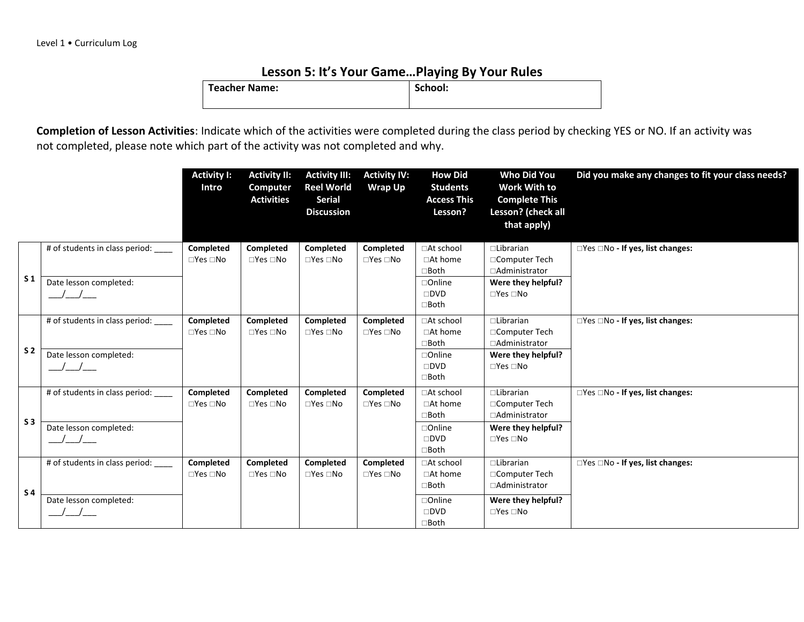#### **Lesson 5: It's Your Game…Playing By Your Rules**

| <b>Teacher Name:</b> | School: |
|----------------------|---------|
|                      |         |

|                |                                                                                          | <b>Activity I:</b><br>Intro              | <b>Activity II:</b><br>Computer<br><b>Activities</b> | <b>Activity III:</b><br><b>Reel World</b><br><b>Serial</b><br><b>Discussion</b> | <b>Activity IV:</b><br><b>Wrap Up</b> | <b>How Did</b><br><b>Students</b><br><b>Access This</b><br>Lesson?                              | <b>Who Did You</b><br>Work With to<br><b>Complete This</b><br>Lesson? (check all<br>that apply)    | Did you make any changes to fit your class needs? |
|----------------|------------------------------------------------------------------------------------------|------------------------------------------|------------------------------------------------------|---------------------------------------------------------------------------------|---------------------------------------|-------------------------------------------------------------------------------------------------|----------------------------------------------------------------------------------------------------|---------------------------------------------------|
| S <sub>1</sub> | # of students in class period:<br>Date lesson completed:<br>$\overline{1}$               | Completed<br>$\square$ Yes $\square$ No  | Completed<br>$\Box$ Yes $\Box$ No                    | Completed<br>$\square$ Yes $\square$ No                                         | Completed<br>$\Box$ Yes $\Box$ No     | □At school<br>□At home<br>⊟Both<br>$\Box$ Online<br>$\square$ DVD<br>$\Box$ Both                | $\Box$ Librarian<br>□Computer Tech<br>□Administrator<br>Were they helpful?<br>$\Box$ Yes $\Box$ No | □Yes □No - If yes, list changes:                  |
| S <sub>2</sub> | # of students in class period: ____<br>Date lesson completed:<br>$\frac{\Delta}{\Delta}$ | Completed<br>$\Box$ Yes $\Box$ No        | Completed<br>$\Box$ Yes $\Box$ No                    | Completed<br>$\square$ Yes $\square$ No                                         | Completed<br>$\Box$ Yes $\Box$ No     | □At school<br>$\Box$ At home<br>$\Box$ Both<br>$\Box$ Online<br>$\square$ DVD<br>$\square$ Both | $\Box$ Librarian<br>□Computer Tech<br>□Administrator<br>Were they helpful?<br>$\Box$ Yes $\Box$ No | □Yes □No - If yes, list changes:                  |
| S <sub>3</sub> | # of students in class period:<br>Date lesson completed:<br>$\sqrt{2}$                   | <b>Completed</b><br>$\Box$ Yes $\Box$ No | Completed<br>$\Box$ Yes $\Box$ No                    | Completed<br>$\square$ Yes $\square$ No                                         | Completed<br>$\Box$ Yes $\Box$ No     | □At school<br>□At home<br>$\square$ Both<br>□Online<br>$\square$ DVD<br>$\square$ Both          | $\Box$ Librarian<br>□Computer Tech<br>□Administrator<br>Were they helpful?<br>$\Box$ Yes $\Box$ No | $\Box$ Yes $\Box$ No - If yes, list changes:      |
| S <sub>4</sub> | # of students in class period:<br>Date lesson completed:<br>$\sqrt{2}$                   | <b>Completed</b><br>$\Box$ Yes $\Box$ No | Completed<br>$\Box$ Yes $\Box$ No                    | Completed<br>$\square$ Yes $\square$ No                                         | Completed<br>$\Box$ Yes $\Box$ No     | □At school<br>$\Box$ At home<br>$\Box$ Both<br>$\Box$ Online<br>$\square$ DVD<br>$\Box$ Both    | $\Box$ Librarian<br>□Computer Tech<br>□Administrator<br>Were they helpful?<br>$\Box$ Yes $\Box$ No | $\Box$ Yes $\Box$ No - If yes, list changes:      |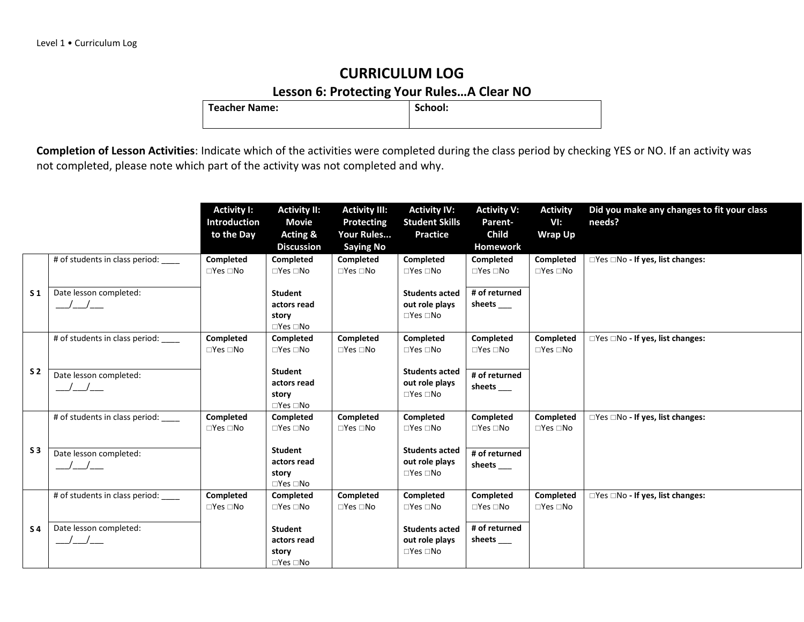### **CURRICULUM LOG Lesson 6: Protecting Your Rules...A Clear NO**<br>e: School:

**Teacher Name:** 

|                |                                                   | <b>Activity I:</b><br><b>Introduction</b><br>to the Day | <b>Activity II:</b><br><b>Movie</b><br><b>Acting &amp;</b><br><b>Discussion</b> | <b>Activity III:</b><br>Protecting<br>Your Rules<br><b>Saying No</b> | <b>Activity IV:</b><br><b>Student Skills</b><br><b>Practice</b> | <b>Activity V:</b><br>Parent-<br>Child<br>Homework | <b>Activity</b><br>VI:<br><b>Wrap Up</b> | Did you make any changes to fit your class<br>needs? |
|----------------|---------------------------------------------------|---------------------------------------------------------|---------------------------------------------------------------------------------|----------------------------------------------------------------------|-----------------------------------------------------------------|----------------------------------------------------|------------------------------------------|------------------------------------------------------|
|                | # of students in class period:                    | Completed<br>$\square$ Yes $\square$ No                 | Completed<br>$\Box$ Yes $\Box$ No                                               | Completed<br>$\square$ Yes $\square$ No                              | <b>Completed</b><br>$\Box$ Yes $\Box$ No                        | Completed<br>$\square$ Yes $\square$ No            | Completed<br>$\Box$ Yes $\Box$ No        | □Yes □No - If yes, list changes:                     |
| S <sub>1</sub> | Date lesson completed:<br>$\sqrt{2}$              |                                                         | <b>Student</b><br>actors read<br>story<br>$\Box$ Yes $\Box$ No                  |                                                                      | <b>Students acted</b><br>out role plays<br>$\Box$ Yes $\Box$ No | # of returned<br>sheets                            |                                          |                                                      |
|                | # of students in class period:                    | Completed<br>$\square$ Yes $\square$ No                 | Completed<br>$\Box$ Yes $\Box$ No                                               | Completed<br>$\square$ Yes $\square$ No                              | Completed<br>$\Box$ Yes $\Box$ No                               | Completed<br>$\square$ Yes $\square$ No            | Completed<br>$\Box$ Yes $\Box$ No        | $\Box$ Yes $\Box$ No - If yes, list changes:         |
| S <sub>2</sub> | Date lesson completed:<br>$\frac{\Delta}{\Delta}$ |                                                         | <b>Student</b><br>actors read<br>story<br>$\Box$ Yes $\Box$ No                  |                                                                      | <b>Students acted</b><br>out role plays<br>$\Box$ Yes $\Box$ No | # of returned<br>sheets _____                      |                                          |                                                      |
|                | # of students in class period: ____               | <b>Completed</b><br>$\square$ Yes $\square$ No          | Completed<br>$\Box$ Yes $\Box$ No                                               | <b>Completed</b><br>$\square$ Yes $\square$ No                       | Completed<br>$\Box$ Yes $\Box$ No                               | Completed<br>$\square$ Yes $\square$ No            | Completed<br>$\Box$ Yes $\Box$ No        | $\Box$ Yes $\Box$ No - If yes, list changes:         |
| S <sub>3</sub> | Date lesson completed:<br>$\frac{1}{2}$           |                                                         | <b>Student</b><br>actors read<br>story<br>$\Box$ Yes $\Box$ No                  |                                                                      | <b>Students acted</b><br>out role plays<br>$\Box$ Yes $\Box$ No | # of returned<br>sheets ____                       |                                          |                                                      |
|                | # of students in class period: ____               | Completed<br>$\square$ Yes $\square$ No                 | Completed<br>$\Box$ Yes $\Box$ No                                               | <b>Completed</b><br>$\square$ Yes $\square$ No                       | <b>Completed</b><br>$\Box$ Yes $\Box$ No                        | Completed<br>$\Box$ Yes $\Box$ No                  | Completed<br>$\Box$ Yes $\Box$ No        | □Yes □No - If yes, list changes:                     |
| S <sub>4</sub> | Date lesson completed:<br>$\sqrt{2}$              |                                                         | <b>Student</b><br>actors read<br>story<br>$\square$ Yes $\square$ No            |                                                                      | <b>Students acted</b><br>out role plays<br>$\Box$ Yes $\Box$ No | # of returned<br>sheets ____                       |                                          |                                                      |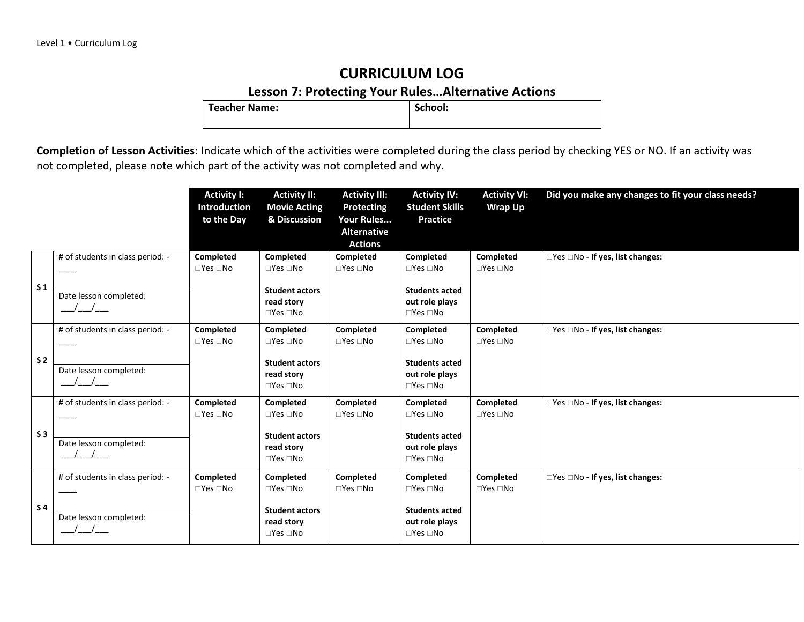### **CURRICULUM LOG Lesson 7: Protecting Your Rules…Alternative Actions**

**Teacher Name:** 

|                |                                                                                | <b>Activity I:</b><br><b>Introduction</b><br>to the Day | <b>Activity II:</b><br><b>Movie Acting</b><br>& Discussion                                             | <b>Activity III:</b><br><b>Protecting</b><br>Your Rules<br><b>Alternative</b><br><b>Actions</b> | <b>Activity IV:</b><br><b>Student Skills</b><br><b>Practice</b>                                                  | <b>Activity VI:</b><br><b>Wrap Up</b>          | Did you make any changes to fit your class needs? |
|----------------|--------------------------------------------------------------------------------|---------------------------------------------------------|--------------------------------------------------------------------------------------------------------|-------------------------------------------------------------------------------------------------|------------------------------------------------------------------------------------------------------------------|------------------------------------------------|---------------------------------------------------|
| S <sub>1</sub> | # of students in class period: -<br>Date lesson completed:<br>$\sqrt{a^2-a^2}$ | Completed<br>$\square$ Yes $\square$ No                 | Completed<br>$\Box$ Yes $\Box$ No<br><b>Student actors</b><br>read story<br>$\square$ Yes $\square$ No | Completed<br>$\square$ Yes $\square$ No                                                         | Completed<br>$\square$ Yes $\square$ No<br><b>Students acted</b><br>out role plays<br>$\square$ Yes $\square$ No | <b>Completed</b><br>$\square$ Yes $\square$ No | $\Box$ Yes $\Box$ No - If yes, list changes:      |
| S <sub>2</sub> | # of students in class period: -<br>Date lesson completed:                     | <b>Completed</b><br>$\square$ Yes $\square$ No          | Completed<br>$\Box$ Yes $\Box$ No<br><b>Student actors</b><br>read story<br>$\square$ Yes $\square$ No | Completed<br>$\Box$ Yes $\Box$ No                                                               | Completed<br>$\Box$ Yes $\Box$ No<br><b>Students acted</b><br>out role plays<br>$\Box$ Yes $\Box$ No             | Completed<br>$\square$ Yes $\square$ No        | □Yes □No - If yes, list changes:                  |
| S <sub>3</sub> | # of students in class period: -<br>Date lesson completed:                     | Completed<br>$\square$ Yes $\square$ No                 | Completed<br>$\Box$ Yes $\Box$ No<br><b>Student actors</b><br>read story<br>$\square$ Yes $\square$ No | Completed<br>$\Box$ Yes $\Box$ No                                                               | Completed<br>$\Box$ Yes $\Box$ No<br><b>Students acted</b><br>out role plays<br>$\Box$ Yes $\Box$ No             | Completed<br>$\Box$ Yes $\Box$ No              | □Yes □No - If yes, list changes:                  |
| <b>S4</b>      | # of students in class period: -<br>Date lesson completed:                     | <b>Completed</b><br>$\Box$ Yes $\Box$ No                | Completed<br>$\Box$ Yes $\Box$ No<br><b>Student actors</b><br>read story<br>$\Box$ Yes $\Box$ No       | Completed<br>$\square$ Yes $\square$ No                                                         | Completed<br>$\Box$ Yes $\Box$ No<br><b>Students acted</b><br>out role plays<br>$\Box$ Yes $\Box$ No             | Completed<br>$\Box$ Yes $\Box$ No              | □Yes □No - If yes, list changes:                  |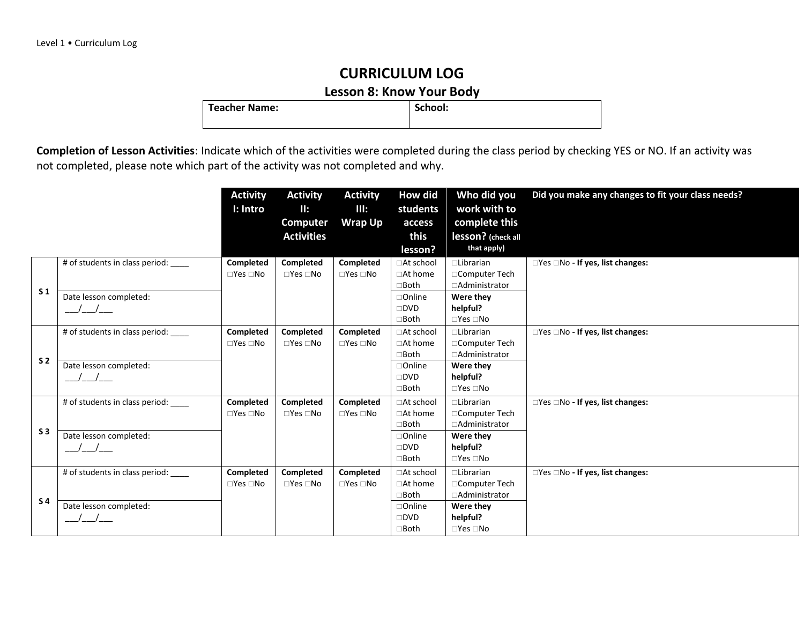**Lesson 8: Know Your Body**<br>School:

**Teacher Name:** 

|                |                                | <b>Activity</b><br>I: Intro       | <b>Activity</b><br>II:<br>Computer<br><b>Activities</b> | <b>Activity</b><br>III:<br><b>Wrap Up</b> | How did<br>students<br>access<br>this<br>lesson? | Who did you<br>work with to<br>complete this<br>lesson? (check all<br>that apply) | Did you make any changes to fit your class needs? |
|----------------|--------------------------------|-----------------------------------|---------------------------------------------------------|-------------------------------------------|--------------------------------------------------|-----------------------------------------------------------------------------------|---------------------------------------------------|
|                | # of students in class period: | Completed<br>$\Box$ Yes $\Box$ No | Completed<br>$\square$ Yes $\square$ No                 | Completed<br>$\Box$ Yes $\Box$ No         | □At school<br>$\Box$ At home                     | $\Box$ Librarian<br>□Computer Tech                                                | $\Box$ Yes $\Box$ No - If yes, list changes:      |
|                |                                |                                   |                                                         |                                           | $\Box$ Both                                      | □Administrator                                                                    |                                                   |
| S <sub>1</sub> | Date lesson completed:         |                                   |                                                         |                                           | $\Box$ Online                                    | Were they                                                                         |                                                   |
|                | $\frac{1}{2}$                  |                                   |                                                         |                                           | $\square$ DVD                                    | helpful?                                                                          |                                                   |
|                |                                |                                   |                                                         |                                           | $\Box$ Both                                      | $\square$ Yes $\square$ No                                                        |                                                   |
|                | # of students in class period: | Completed                         | Completed                                               | <b>Completed</b>                          | □At school                                       | $\Box$ Librarian                                                                  | $\Box$ Yes $\Box$ No - If yes, list changes:      |
|                |                                | $\Box$ Yes $\Box$ No              | $\square$ Yes $\square$ No                              | $\Box$ Yes $\Box$ No                      | $\Box$ At home                                   | □Computer Tech                                                                    |                                                   |
| S <sub>2</sub> |                                |                                   |                                                         |                                           | $\Box$ Both                                      | □Administrator                                                                    |                                                   |
|                | Date lesson completed:         |                                   |                                                         |                                           | $\Box$ Online                                    | Were they                                                                         |                                                   |
|                |                                |                                   |                                                         |                                           | $\square$ DVD<br>$\Box$ Both                     | helpful?<br>$\square$ Yes $\square$ No                                            |                                                   |
|                |                                |                                   |                                                         |                                           |                                                  |                                                                                   |                                                   |
|                | # of students in class period: | Completed<br>$\Box$ Yes $\Box$ No | Completed<br>$\square$ Yes $\square$ No                 | <b>Completed</b><br>$\Box$ Yes $\Box$ No  | □At school<br>□At home                           | $\Box$ Librarian<br>□Computer Tech                                                | □Yes □No - If yes, list changes:                  |
|                |                                |                                   |                                                         |                                           | $\Box$ Both                                      | □Administrator                                                                    |                                                   |
| S <sub>3</sub> | Date lesson completed:         |                                   |                                                         |                                           | $\Box$ Online                                    | Were they                                                                         |                                                   |
|                |                                |                                   |                                                         |                                           | $\square$ DVD                                    | helpful?                                                                          |                                                   |
|                |                                |                                   |                                                         |                                           | $\Box$ Both                                      | $\square$ Yes $\square$ No                                                        |                                                   |
|                | # of students in class period: | Completed                         | Completed                                               | Completed                                 | □At school                                       | □Librarian                                                                        | □Yes □No - If yes, list changes:                  |
|                |                                | $\Box$ Yes $\Box$ No              | $\square$ Yes $\square$ No                              | $\Box$ Yes $\Box$ No                      | □At home                                         | □Computer Tech                                                                    |                                                   |
| S <sub>4</sub> |                                |                                   |                                                         |                                           | $\Box$ Both                                      | □Administrator                                                                    |                                                   |
|                | Date lesson completed:         |                                   |                                                         |                                           | $\Box$ Online                                    | Were they                                                                         |                                                   |
|                |                                |                                   |                                                         |                                           | $\square$ DVD                                    | helpful?                                                                          |                                                   |
|                |                                |                                   |                                                         |                                           | $\Box$ Both                                      | $\square$ Yes $\square$ No                                                        |                                                   |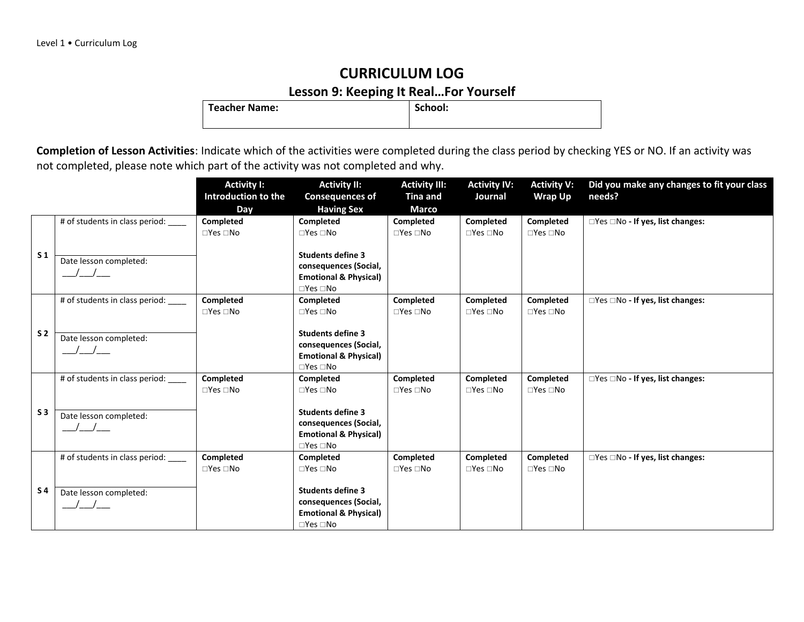### **CURRICULUM LOG Lesson 9: Keeping It Real…For Yourself**

**Teacher Name:** 

|                |                                                                         | <b>Activity I:</b><br>Introduction to the | <b>Activity II:</b><br><b>Consequences of</b>                                                                       | <b>Activity III:</b><br><b>Tina and</b>        | <b>Activity IV:</b><br>Journal    | <b>Activity V:</b><br><b>Wrap Up</b>    | Did you make any changes to fit your class<br>needs? |
|----------------|-------------------------------------------------------------------------|-------------------------------------------|---------------------------------------------------------------------------------------------------------------------|------------------------------------------------|-----------------------------------|-----------------------------------------|------------------------------------------------------|
|                |                                                                         | Day                                       | <b>Having Sex</b>                                                                                                   | <b>Marco</b>                                   |                                   |                                         |                                                      |
|                | # of students in class period:                                          | Completed<br>$\Box$ Yes $\Box$ No         | Completed<br>$\Box$ Yes $\Box$ No                                                                                   | Completed<br>$\Box$ Yes $\Box$ No              | Completed<br>$\Box$ Yes $\Box$ No | Completed<br>$\Box$ Yes $\Box$ No       | □Yes □No - If yes, list changes:                     |
| S <sub>1</sub> | Date lesson completed:                                                  |                                           | <b>Students define 3</b><br>consequences (Social,<br><b>Emotional &amp; Physical)</b>                               |                                                |                                   |                                         |                                                      |
|                | # of students in class period:                                          | Completed<br>$\Box$ Yes $\Box$ No         | $\Box$ Yes $\Box$ No<br><b>Completed</b><br>$\square$ Yes $\square$ No                                              | Completed<br>$\square$ Yes $\square$ No        | Completed<br>$\Box$ Yes $\Box$ No | Completed<br>$\Box$ Yes $\Box$ No       | □Yes □No - If yes, list changes:                     |
| S <sub>2</sub> | Date lesson completed:                                                  |                                           | <b>Students define 3</b><br>consequences (Social,<br><b>Emotional &amp; Physical)</b><br>$\Box$ Yes $\Box$ No       |                                                |                                   |                                         |                                                      |
|                | # of students in class period:                                          | Completed<br>$\Box$ Yes $\Box$ No         | Completed<br>$\Box$ Yes $\Box$ No                                                                                   | Completed<br>$\Box$ Yes $\Box$ No              | Completed<br>$\Box$ Yes $\Box$ No | Completed<br>$\Box$ Yes $\Box$ No       | □Yes □No - If yes, list changes:                     |
| S <sub>3</sub> | Date lesson completed:<br>$\left  \begin{array}{c} \end{array} \right $ |                                           | <b>Students define 3</b><br>consequences (Social,<br><b>Emotional &amp; Physical)</b><br>$\square$ Yes $\square$ No |                                                |                                   |                                         |                                                      |
|                | # of students in class period:                                          | Completed<br>$\Box$ Yes $\Box$ No         | Completed<br>$\square$ Yes $\square$ No                                                                             | <b>Completed</b><br>$\square$ Yes $\square$ No | Completed<br>$\Box$ Yes $\Box$ No | Completed<br>$\square$ Yes $\square$ No | □Yes □No - If yes, list changes:                     |
| <b>S4</b>      | Date lesson completed:                                                  |                                           | <b>Students define 3</b><br>consequences (Social,<br><b>Emotional &amp; Physical)</b><br>$\square$ Yes $\square$ No |                                                |                                   |                                         |                                                      |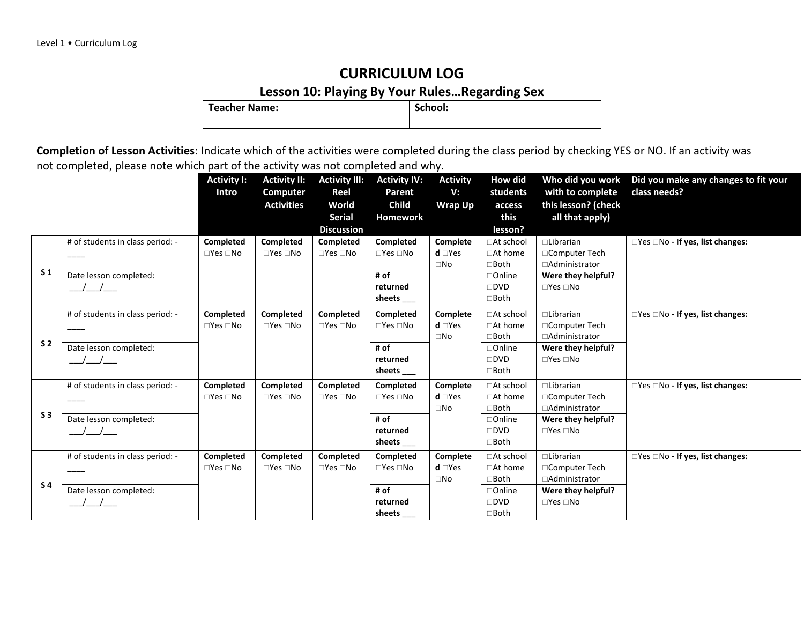## **Lesson 10: Playing By Your Rules... Regarding Sex**

**Teacher Name:** 

|                |                                                            | <b>Activity I:</b><br>Intro             | <b>Activity II:</b><br>Computer<br><b>Activities</b> | <b>Activity III:</b><br>Reel<br>World<br><b>Serial</b><br><b>Discussion</b> | <b>Activity IV:</b><br>Parent<br><b>Child</b><br><b>Homework</b>                     | <b>Activity</b><br>V:<br><b>Wrap Up</b>      | How did<br>students<br>access<br>this<br>lesson?                           | Who did you work<br>with to complete<br>this lesson? (check<br>all that apply)                     | Did you make any changes to fit your<br>class needs? |
|----------------|------------------------------------------------------------|-----------------------------------------|------------------------------------------------------|-----------------------------------------------------------------------------|--------------------------------------------------------------------------------------|----------------------------------------------|----------------------------------------------------------------------------|----------------------------------------------------------------------------------------------------|------------------------------------------------------|
| S <sub>1</sub> | # of students in class period: -<br>Date lesson completed: | Completed<br>$\square$ Yes $\square$ No | Completed<br>$\Box$ Yes $\Box$ No                    | Completed<br>$\Box$ Yes $\Box$ No                                           | Completed<br>$\Box$ Yes $\Box$ No<br># of<br>returned<br>sheets                      | Complete<br>$d \Box Yes$<br>$\square$ No     | □At school<br>□At home<br>⊐Both<br>□Online<br>$\square$ DVD<br>$\Box$ Both | $\Box$ Librarian<br>□Computer Tech<br>□Administrator<br>Were they helpful?<br>$\Box$ Yes $\Box$ No | □Yes □No - If yes, list changes:                     |
| S <sub>2</sub> | # of students in class period: -<br>Date lesson completed: | Completed<br>$\square$ Yes $\square$ No | Completed<br>$\Box$ Yes $\Box$ No                    | Completed<br>$\Box$ Yes $\Box$ No                                           | Completed<br>$\Box$ Yes $\Box$ No<br># of<br>returned<br>sheets $\rule{1em}{0.15mm}$ | Complete<br>$d \square Y$ es<br>$\square$ No | □At school<br>$\Box$ At home<br>∃Both<br>□Online<br>$\square$ dvd<br>□Both | $\Box$ Librarian<br>□Computer Tech<br>□Administrator<br>Were they helpful?<br>$\Box$ Yes $\Box$ No | $\Box$ Yes $\Box$ No - If yes, list changes:         |
| S <sub>3</sub> | # of students in class period: -<br>Date lesson completed: | Completed<br>$\square$ Yes $\square$ No | Completed<br>$\Box$ Yes $\Box$ No                    | Completed<br>$\Box$ Yes $\Box$ No                                           | Completed<br>$\Box$ Yes $\Box$ No<br># of<br>returned<br>sheets                      | Complete<br>$d \square Yes$<br>$\square$ No  | □At school<br>□At home<br>∃Both<br>⊐Online<br>$\square$ DVD<br>⊐Both       | □Librarian<br>□Computer Tech<br>□Administrator<br>Were they helpful?<br>$\Box$ Yes $\Box$ No       | $\Box$ Yes $\Box$ No - If yes, list changes:         |
| <b>S4</b>      | # of students in class period: -<br>Date lesson completed: | Completed<br>$\Box$ Yes $\Box$ No       | Completed<br>$\Box$ Yes $\Box$ No                    | Completed<br>$\Box$ Yes $\Box$ No                                           | Completed<br>$\Box$ Yes $\Box$ No<br># of<br>returned<br>sheets                      | Complete<br>$d \Box Yes$<br>$\square$ No     | □At school<br>□At home<br>□Both<br>□Online<br>$\square$ DVD<br>□Both       | $\Box$ Librarian<br>□Computer Tech<br>□Administrator<br>Were they helpful?<br>$\Box$ Yes $\Box$ No | $\Box$ Yes $\Box$ No - If yes, list changes:         |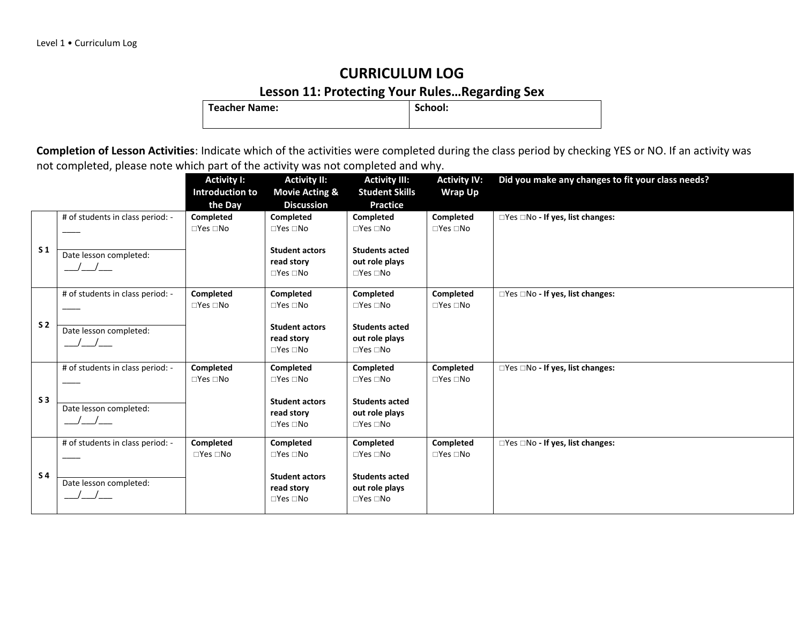# **Lesson 11: Protecting Your Rules...Regarding Sex**

**Teacher Name:** 

|                |                                                            | <b>Activity I:</b><br>Introduction to<br>the Day | <b>Activity II:</b><br><b>Movie Acting &amp;</b><br><b>Discussion</b>                                        | <b>Activity III:</b><br><b>Student Skills</b><br><b>Practice</b>                                            | <b>Activity IV:</b><br><b>Wrap Up</b>   | Did you make any changes to fit your class needs? |
|----------------|------------------------------------------------------------|--------------------------------------------------|--------------------------------------------------------------------------------------------------------------|-------------------------------------------------------------------------------------------------------------|-----------------------------------------|---------------------------------------------------|
| S <sub>1</sub> | # of students in class period: -<br>Date lesson completed: | Completed<br>$\square$ Yes $\square$ No          | Completed<br>$\square$ Yes $\square$ No<br><b>Student actors</b><br>read story<br>$\Box$ Yes $\Box$ No       | <b>Completed</b><br>$\Box$ Yes $\Box$ No<br><b>Students acted</b><br>out role plays<br>$\Box$ Yes $\Box$ No | Completed<br>$\Box$ Yes $\Box$ No       | □Yes □No - If yes, list changes:                  |
| S <sub>2</sub> | # of students in class period: -<br>Date lesson completed: | Completed<br>$\square$ Yes $\square$ No          | Completed<br>$\square$ Yes $\square$ No<br><b>Student actors</b><br>read story<br>$\Box$ Yes $\Box$ No       | Completed<br>$\Box$ Yes $\Box$ No<br><b>Students acted</b><br>out role plays<br>$\Box$ Yes $\Box$ No        | Completed<br>$\square$ Yes $\square$ No | □Yes □No - If yes, list changes:                  |
| S <sub>3</sub> | # of students in class period: -<br>Date lesson completed: | Completed<br>$\square$ Yes $\square$ No          | Completed<br>$\square$ Yes $\square$ No<br><b>Student actors</b><br>read story<br>$\square$ Yes $\square$ No | Completed<br>$\Box$ Yes $\Box$ No<br><b>Students acted</b><br>out role plays<br>$\square$ Yes $\square$ No  | Completed<br>$\square$ Yes $\square$ No | □Yes □No - If yes, list changes:                  |
| S <sub>4</sub> | # of students in class period: -<br>Date lesson completed: | Completed<br>$\Box$ Yes $\Box$ No                | Completed<br>$\square$ Yes $\square$ No<br><b>Student actors</b><br>read story<br>$\square$ Yes $\square$ No | Completed<br>$\Box$ Yes $\Box$ No<br><b>Students acted</b><br>out role plays<br>$\Box$ Yes $\Box$ No        | Completed<br>$\square$ Yes $\square$ No | □Yes □No - If yes, list changes:                  |